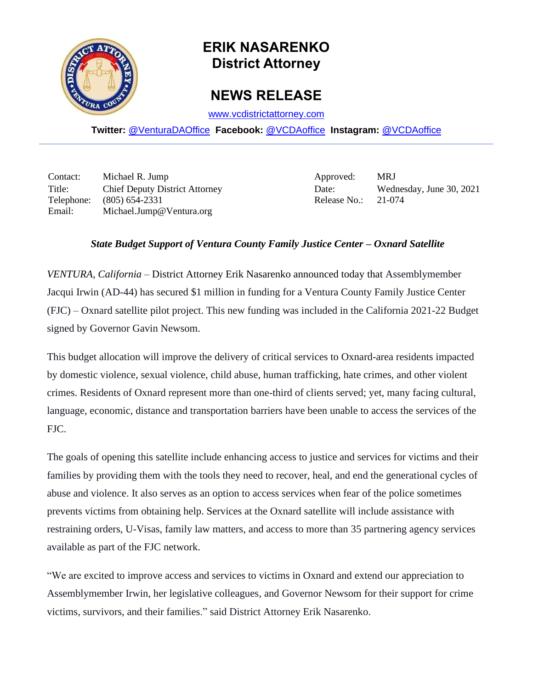

## **ERIK NASARENKO District Attorney**

## **NEWS RELEASE**

[www.vcdistrictattorney.com](http://www.vcdistrictattorney.com/)

**Twitter:** [@VenturaDAOffice](https://twitter.com/venturadaoffice) **Facebook:** [@VCDAoffice](https://facebook.com/VCDAoffice) **Instagram:** [@VCDAoffice](https://instagram.com/VCDAoffice)

Contact: Michael R. Jump Approved: MRJ Title: Chief Deputy District Attorney Date: Wednesday, June 30, 2021 Telephone: (805) 654-2331 Release No.: 21-074 Email: Michael.Jump@Ventura.org

## *State Budget Support of Ventura County Family Justice Center – Oxnard Satellite*

*VENTURA, California* – District Attorney Erik Nasarenko announced today that Assemblymember Jacqui Irwin (AD-44) has secured \$1 million in funding for a Ventura County Family Justice Center (FJC) – Oxnard satellite pilot project. This new funding was included in the California 2021-22 Budget signed by Governor Gavin Newsom.

This budget allocation will improve the delivery of critical services to Oxnard-area residents impacted by domestic violence, sexual violence, child abuse, human trafficking, hate crimes, and other violent crimes. Residents of Oxnard represent more than one-third of clients served; yet, many facing cultural, language, economic, distance and transportation barriers have been unable to access the services of the FJC.

The goals of opening this satellite include enhancing access to justice and services for victims and their families by providing them with the tools they need to recover, heal, and end the generational cycles of abuse and violence. It also serves as an option to access services when fear of the police sometimes prevents victims from obtaining help. Services at the Oxnard satellite will include assistance with restraining orders, U-Visas, family law matters, and access to more than 35 partnering agency services available as part of the FJC network.

"We are excited to improve access and services to victims in Oxnard and extend our appreciation to Assemblymember Irwin, her legislative colleagues, and Governor Newsom for their support for crime victims, survivors, and their families." said District Attorney Erik Nasarenko.